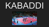# KABADI

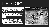# 1. HISTORY

Kabaddi originated in the south India around 4,000 years ago. It was developed for young men to develop their physical strength, self-defence skills, and speed.

But it was to the west in the state of Maharashtra that a standardised version of kabaddi was developed during the early decades of the 20th century.

Kabaddi made it to the 1938 Indian Olympic Games held in Calcutta and the sport began to achieve international recognition. It would be in independent India, once British rule had ended in 1947, that the game became an organised sport.

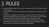#### 2. RULES

- Each team shall consist of no more than 12 players with only 7 taking to the field at any one time.
- The duration of the match is two halves of 20 minutes with a half time break of 5 minutes.
- At the start of a Kabaddi match, there is a coin toss with the winner having the choice as to whether to have the first raid or not. In the second half of the match, the team that did not raid first shall begin the second half with a raid.
- To win a point when raiding, the raider must take a breath and run into the opposition's half and tag one or more members of the opposing team and then return to their own half of the pitch before inhaling again.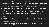- To prove that another breath hasn't been taken, the rider must continue to repeatedly yell the word 'Kabaddi'. Failure to do this, even for just a moment means that the rider must return to their own side of the court without points and the opposite team is awarded a point for a successful defense play.
- The team being raided is defending, and the players must prevent the raiders from tagging them and returning back over the halfway line. Whilst in defence, a team may score a point by successfully preventing the raider returning to their own half after tagging them. Raiders may only be grabbed by their limbs or torso, not by their hair, clothes or anywhere else, and defenders are not permitted to cross the centre line.
- Each team will take turns in raiding and defending. Following halftime, the two teams switch sides of the court and the team who defended first in the first half begin the second half by raiding.
- The game continues in this way until the time is up, the team with the most points at the end of the match is declared the winner.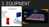# 3. EQUIPMENT

#### Equipment

Kneepads **Shorts** T-shirt **Trainers** 





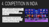### 4. COMPETITION IN INDIA

The **PRO KABADDI LEAGUE (PKL)** is a men's professional Kabaddi league of India. It was launched in 2014. It features 12 teams from 12 different Indian cities.

The League has revolutionised the sport of kabaddi in India with stunning innovations, making it an aspirational sport for players and fans alike.